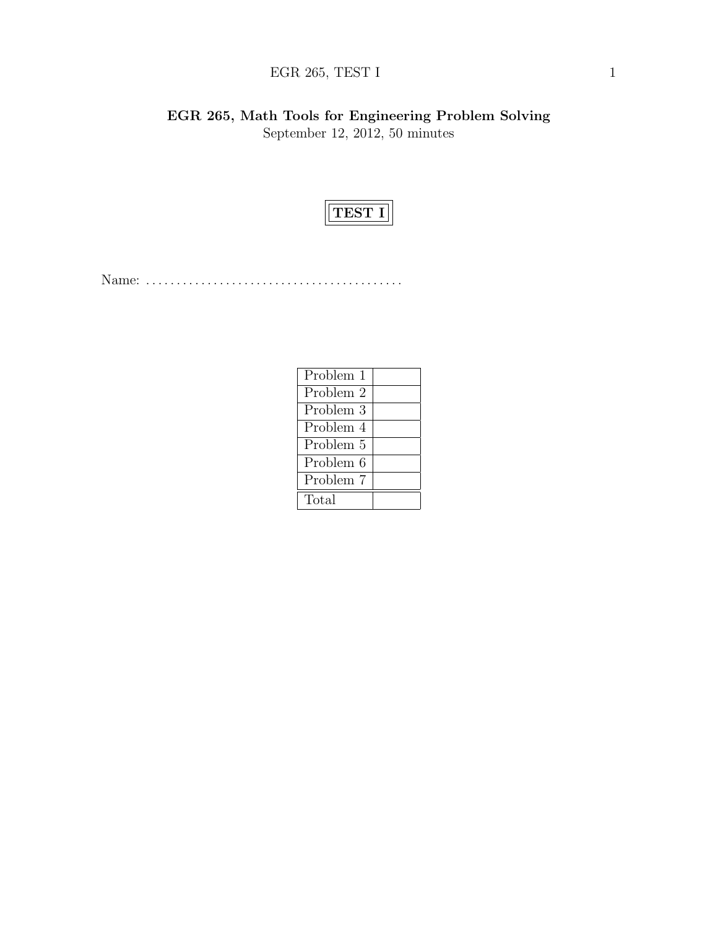# EGR 265, TEST I  $1$

EGR 265, Math Tools for Engineering Problem Solving September 12, 2012, 50 minutes



Name: . . . . . . . . . . . . . . . . . . . . . . . . . . . . . . . . . . . . . . . . . .

| Problem 1 |  |
|-----------|--|
| Problem 2 |  |
| Problem 3 |  |
| Problem 4 |  |
| Problem 5 |  |
| Problem 6 |  |
| Problem 7 |  |
| Total     |  |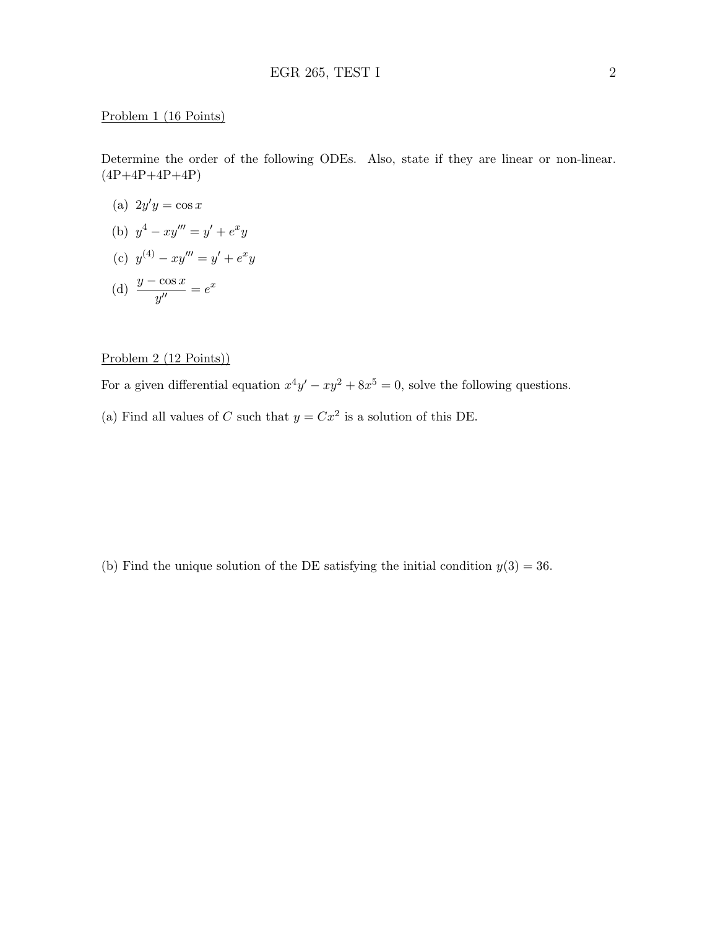#### Problem 1 (16 Points)

Determine the order of the following ODEs. Also, state if they are linear or non-linear.  $(4P+4P+4P+4P)$ 

- (a)  $2y'y = \cos x$
- (b)  $y^4 xy''' = y' + e^x y$
- (c)  $y^{(4)} xy''' = y' + e^x y$
- (d)  $\frac{y \cos x}{y''} = e^x$

# Problem 2 (12 Points))

For a given differential equation  $x^4y' - xy^2 + 8x^5 = 0$ , solve the following questions. (a) Find all values of C such that  $y = Cx^2$  is a solution of this DE.

(b) Find the unique solution of the DE satisfying the initial condition  $y(3) = 36$ .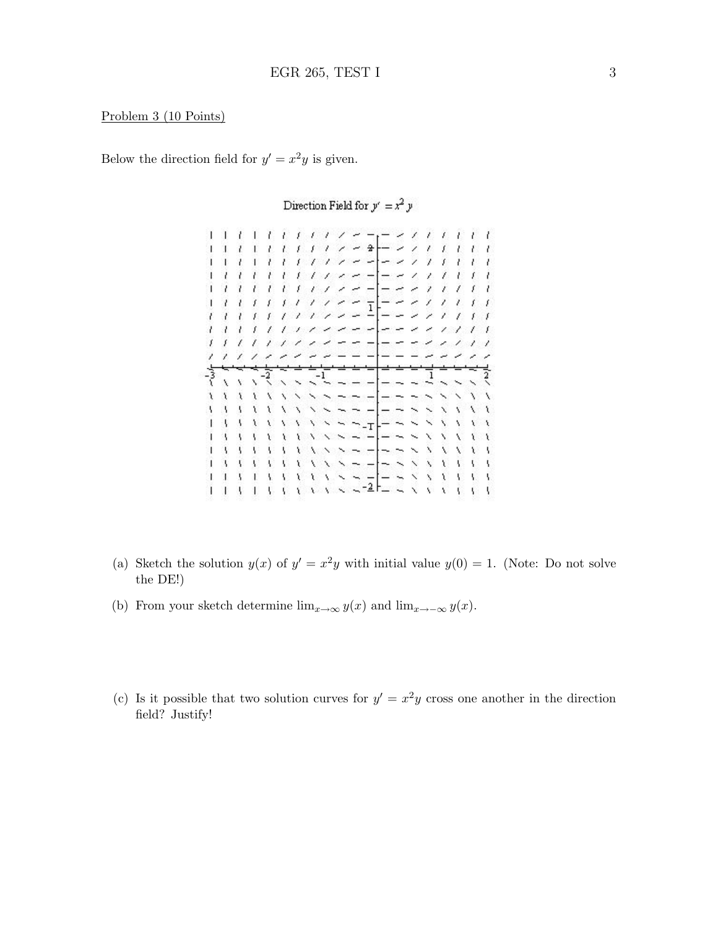## Problem 3 (10 Points)

Below the direction field for  $y' = x^2y$  is given.

1 1 1 1 1 1 1 1 1 1 <del>1 1 - 1</del> 1 1 1 1 1 1 1  $1 / 2 - 2$  $-21$  $1 - l$  $1.7.7$  $\mathcal{L}$ x. T.  $E - I$  $\sim$   $\rightarrow$ ,  $-21$  $\lambda$ x  $11111112222$  $- -$  1 1 1 1 1 ユユエエエエエティング 一 ー ー インフェア , , , , , , , , , , , , , , , , , ,  $\mathbf{I} = \mathbf{I} \times \mathbf{I}$  $11111$  $\sim$   $\times$ ×.  $11111$  $\omega_{\alpha} = \omega_{\alpha} - \omega_{\alpha}$  $1111$  $\overline{1}$ 글 ຸ  $\ddot{x}$  $\ddot{\phantom{0}}$  $\sim$   $-$ L.  $\bar{\mathbf{v}}$ N.  $\chi$  $\chi$  $\ddot{x}$  $\ddotmark$  $\sim$   $\sim$   $\sim$   $\sim$ Y. X ١  $\overline{\phantom{0}}$  $\sim$   $\mid$ Y.  $\mathcal{X}$ X  $\lambda$  $\ddotmark$  $\frac{1}{1}$   $\frac{1}{1}$   $\frac{1}{1}$   $\frac{1}{1}$   $\frac{1}{1}$   $\frac{1}{1}$   $\frac{1}{1}$   $\frac{1}{1}$   $\frac{1}{1}$   $\frac{1}{1}$   $\frac{1}{1}$   $\frac{1}{1}$   $\frac{1}{1}$   $\frac{1}{1}$   $\frac{1}{1}$   $\frac{1}{1}$   $\frac{1}{1}$   $\frac{1}{1}$   $\frac{1}{1}$   $\frac{1}{1}$   $\frac{1}{1}$   $\frac{1}{1}$  N 1 1 1 1 1 1 1 1 1 x x x x x x x x x X 

Direction Field for  $y' = x^2 y$ 

- (a) Sketch the solution  $y(x)$  of  $y' = x^2y$  with initial value  $y(0) = 1$ . (Note: Do not solve the DE!)
- (b) From your sketch determine  $\lim_{x\to\infty} y(x)$  and  $\lim_{x\to-\infty} y(x)$ .
- (c) Is it possible that two solution curves for  $y' = x^2y$  cross one another in the direction field? Justify!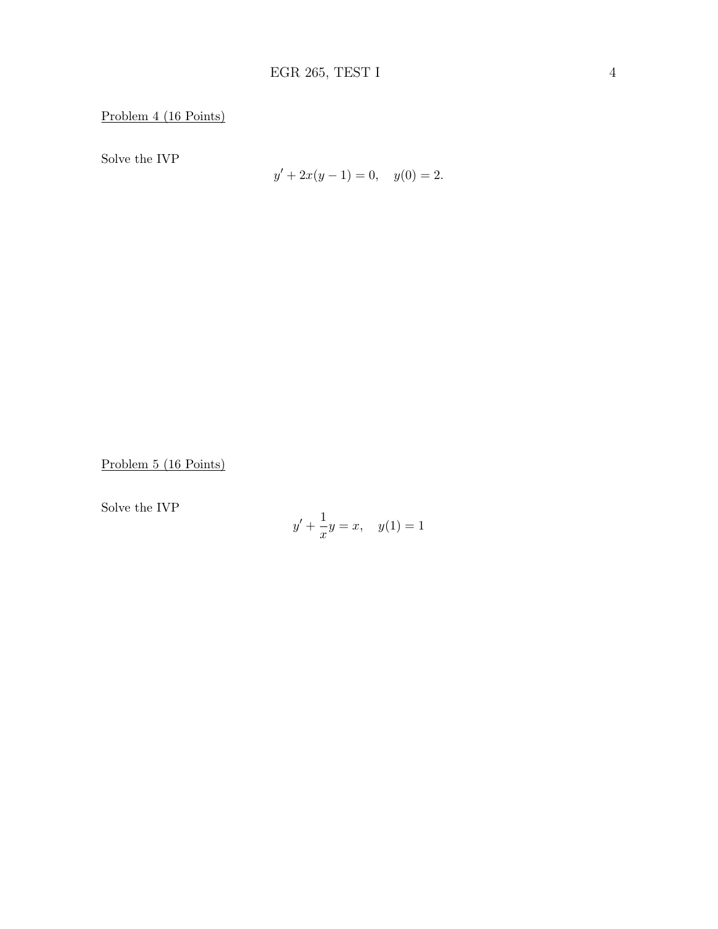Problem 4 (16 Points)

Solve the IVP

$$
y' + 2x(y - 1) = 0, \quad y(0) = 2.
$$

Problem 5 (16 Points)

Solve the IVP

$$
y' + \frac{1}{x}y = x, \quad y(1) = 1
$$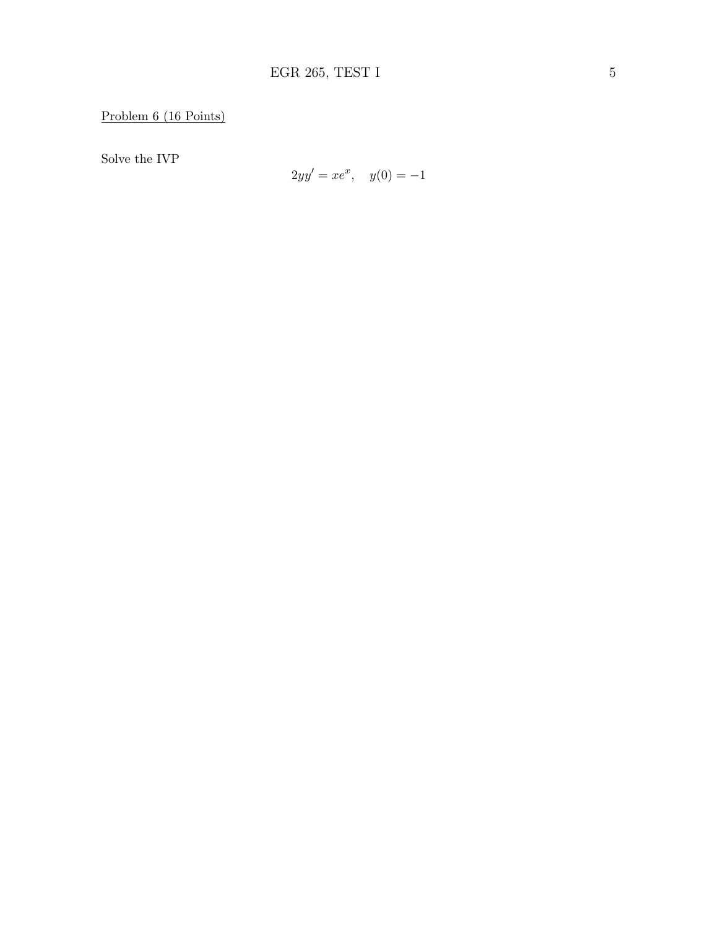Solve the IVP

$$
2yy' = xe^x, \quad y(0) = -1
$$